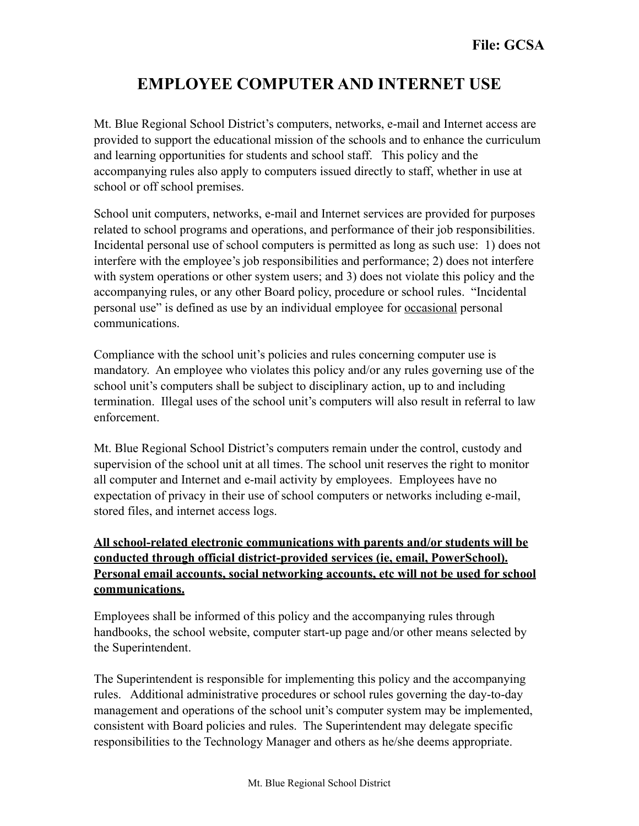## **EMPLOYEE COMPUTER AND INTERNET USE**

Mt. Blue Regional School District's computers, networks, e-mail and Internet access are provided to support the educational mission of the schools and to enhance the curriculum and learning opportunities for students and school staff. This policy and the accompanying rules also apply to computers issued directly to staff, whether in use at school or off school premises.

School unit computers, networks, e-mail and Internet services are provided for purposes related to school programs and operations, and performance of their job responsibilities. Incidental personal use of school computers is permitted as long as such use: 1) does not interfere with the employee's job responsibilities and performance; 2) does not interfere with system operations or other system users; and 3) does not violate this policy and the accompanying rules, or any other Board policy, procedure or school rules. "Incidental personal use" is defined as use by an individual employee for occasional personal communications.

Compliance with the school unit's policies and rules concerning computer use is mandatory. An employee who violates this policy and/or any rules governing use of the school unit's computers shall be subject to disciplinary action, up to and including termination. Illegal uses of the school unit's computers will also result in referral to law enforcement.

Mt. Blue Regional School District's computers remain under the control, custody and supervision of the school unit at all times. The school unit reserves the right to monitor all computer and Internet and e-mail activity by employees. Employees have no expectation of privacy in their use of school computers or networks including e-mail, stored files, and internet access logs.

## **All school-related electronic communications with parents and/or students will be conducted through official district-provided services (ie, email, PowerSchool). Personal email accounts, social networking accounts, etc will not be used for school communications.**

Employees shall be informed of this policy and the accompanying rules through handbooks, the school website, computer start-up page and/or other means selected by the Superintendent.

The Superintendent is responsible for implementing this policy and the accompanying rules. Additional administrative procedures or school rules governing the day-to-day management and operations of the school unit's computer system may be implemented, consistent with Board policies and rules. The Superintendent may delegate specific responsibilities to the Technology Manager and others as he/she deems appropriate.